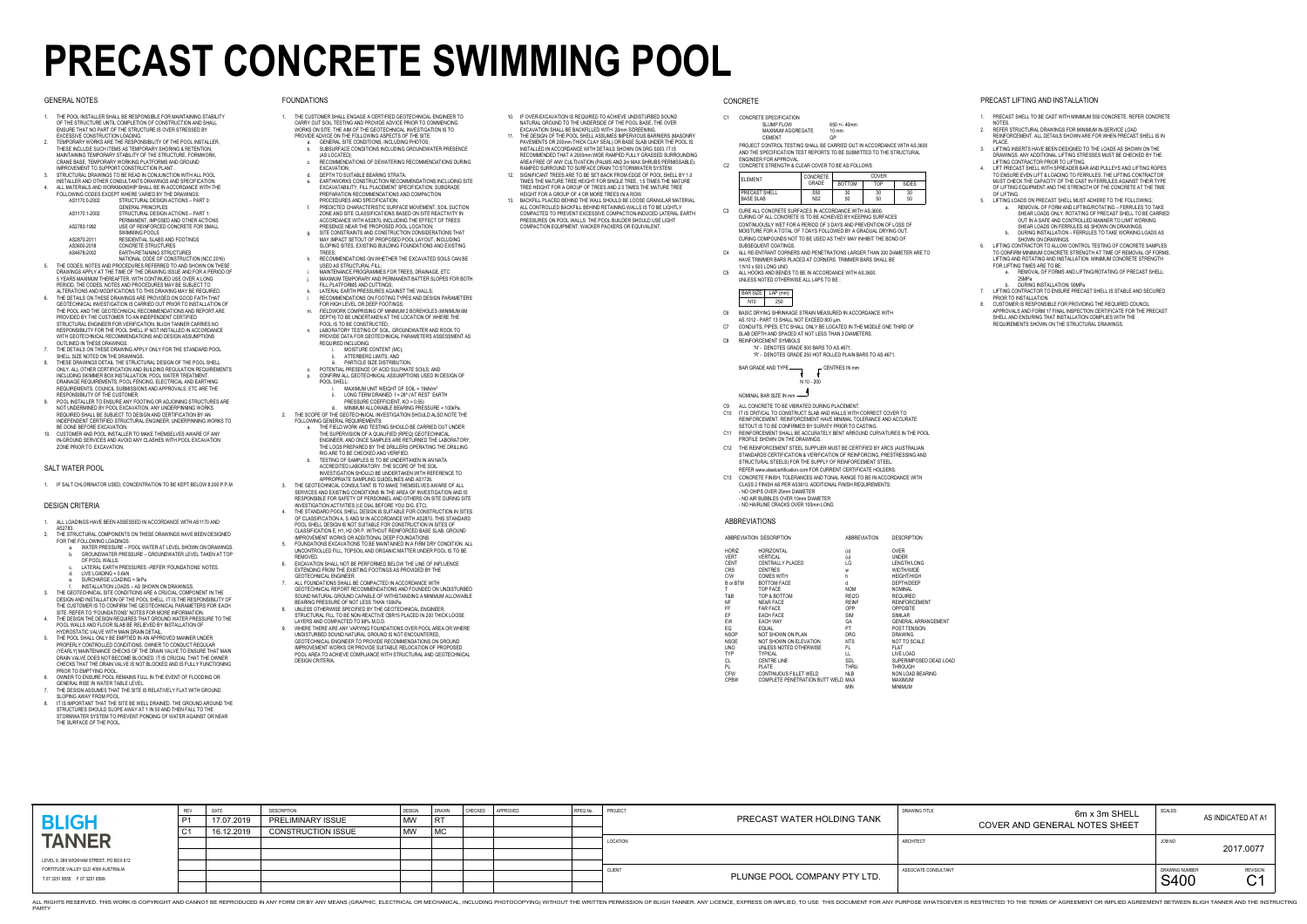|                                                                         | <b>REV</b>     | <b>DATE</b> | <b>DESCRIPTION</b>        | <b>DESIGN</b> | DRAWN     | <b>CHECKED</b> | APPROVED | RPEQ No |
|-------------------------------------------------------------------------|----------------|-------------|---------------------------|---------------|-----------|----------------|----------|---------|
| <b>BLIGH</b>                                                            | P <sub>1</sub> | 17.07.2019  | <b>PRELIMINARY ISSUE</b>  | <b>MW</b>     | <b>RT</b> |                |          |         |
|                                                                         | C <sub>1</sub> | 16.12.2019  | <b>CONSTRUCTION ISSUE</b> | <b>MW</b>     | <b>MC</b> |                |          |         |
| <b>TANNER</b>                                                           |                |             |                           |               |           |                |          |         |
|                                                                         |                |             |                           |               |           |                |          |         |
| LEVEL 9, 269 WICKHAM STREET, PO BOX 612                                 |                |             |                           |               |           |                |          |         |
| FORTITUDE VALLEY QLD 4006 AUSTRALIA<br>T 07 3251 8555    F 07 3251 8599 |                |             |                           |               |           |                |          |         |
|                                                                         |                |             |                           |               |           |                |          |         |

| SIGN | DRAWN<br><b>RT</b><br>$\vert$ MC | <b>CHECKED</b> | APPROVED | RPEQ No. | PROJECT       | PRECAST WATER HOLDING TANK   | <b>DRAWING TITLE</b><br>6m x 3m SHELL<br>COVER AND GENERAL NOTES SHEET | SCALES                        | AS INDICATED AT A1                           |
|------|----------------------------------|----------------|----------|----------|---------------|------------------------------|------------------------------------------------------------------------|-------------------------------|----------------------------------------------|
|      |                                  |                |          |          | LOCATION      |                              | ARCHITECT                                                              | JOB NO                        | 2017.0077                                    |
|      |                                  |                |          |          | <b>CLIENT</b> | PLUNGE POOL COMPANY PTY LTD. | ASSOCIATE CONSULTANT                                                   | DRAWING NUMBER<br><b>S400</b> | <b>REVISION</b><br>$\bigcap$<br>$\checkmark$ |

THIS WORK IS COPYRIGHT AND CANNOT BE REPRODUCED IN ANY FORM OR BY ANY MEANS (GRAPHIC, ELECTRICAL OR MECHANICAL OR MECHANICAL OR MECHANICAL, INCLUDING PHOTOCOPYING) WITHOUT THE WRITTEN PERMISSION OF BLIGH TANNER. ANY LICENC

# **PRECAST CONCRETE SWIMMING POOL**

#### GENERAL NOTES

1. IF SALT CHLORINATOR USED, CONCENTRATION TO BE KEPT BELOW 8,000 P.P.M

#### SALT WATER POOL

- 1. ALL LOADINGS HAVE BEEN ASSESSED IN ACCORDANCE WITH AS1170 AND
- AS2783. 2. THE STRUCTURAL COMPONENTS ON THESE DRAWINGS HAVE BEEN DESIGNED FOR THE FOLLOWING LOADINGS:
	- a. WATER PRESSURE POOL WATER AT LEVEL SHOWN ON DRAWINGS. b. GROUNDWATER PRESSURE – GROUNDWATER LEVEL TAKEN AT TOP OF POOL WALLS.
	- c. LATERAL EARTH PRESSURES –REFER 'FOUNDATIONS' NOTES. d.  $LIVE LOADING = 0.6kN$
	- e. SURCHARGE LOADING = 5kPa
	- f. INSTALLATION LOADS AS SHOWN ON DRAWINGS.
- THE GEOTECHNICAL SITE CONDITIONS ARE A CRUCIAL COMPONENT IN THE DESIGN AND INSTALLATION OF THE POOL SHELL. IT IS THE RESPONSIBILITY OF THE CUSTOMER IS TO CONFIRM THE GEOTECHNICAL PARAMETERS FOR EACH SITE. REFER TO "FOUNDATIONS" NOTES FOR MORE INFORMATION.
- 4. THE DESIGN THE DESIGN REQUIRES THAT GROUND WATER PRESSURE TO THE POOL WALLS AND FLOOR SLAB BE RELIEVED BY INSTALLATION OF HYDROSTATIC VALVE WITH MAIN DRAIN DETAIL.
- 5. THE POOL SHALL ONLY BE EMPTIED IN AN APPROVED MANNER UNDER PROPERLY CONTROLLED CONDITIONS. OWNER TO CONDUCT REGULAR (YEARLY) MAINTENANCE CHECKS OF THE DRAIN VALVE TO ENSURE THAT MAIN DRAIN VALVE DOES NOT BECOME BLOCKED. IT IS CRUCIAL THAT THE OWNER CHECKS THAT THE DRAIN VALVE IS NOT BLOCKED AND IS FULLY FUNCTIONING
- PRIOR TO EMPTYING POOL.6. OWNER TO ENSURE POOL REMAINS FULL IN THE EVENT OF FLOODING OR
- GENERAL RISE IN WATER TABLE LEVEL.
- 7. THE DESIGN ASSUMES THAT THE SITE IS RELATIVELY FLAT WITH GROUND SLOPING AWAY FROM POOL.8. IT IS IMPORTANT THAT THE SITE BE WELL DRAINED. THE GROUND AROUND THE
- STRUCTURES SHOULD SLOPE AWAY AT 1 IN 50 AND THEN FALL TO THE STORMWATER SYSTEM TO PREVENT PONDING OF WATER AGAINST OR NEAR THE SURFACE OF THE POOL.

#### DESIGN CRITERIA

 2. REFER STRUCTURAL DRAWINGS FOR MINIMUM IN-SERVICE LOAD REINFORCEMENT. ALL DETAILS SHOWN ARE FOR WHEN PRECAST SHELL IS IN PLACE.

- 1. THE CUSTOMER SHALL ENGAGE A CERTIFIED GEOTECHNICAL ENGINEER TO CARRY OUT SOIL TESTING AND PROVIDE ADVICE PRIOR TO COMMENCING WORKS ON SITE. THE AIM OF THE GEOTECHNICAL INVESTIGATION IS TO PROVIDE ADVICE ON THE FOLLOWING ASPECTS OF THE SITE:
	- GENERAL SITE CONDITIONS, INCLUDING PHOTOS; b. SUBSURFACE CONDITIONS INCLUDING GROUNDWATER PRESENCE
	- (AS LOCATED); c. RECOMMENDATIONS OF DEWATERING RECOMMENDATIONS DURING EXCAVATION;
	- d. DEPTH TO SUITABLE BEARING STRATA; e. EARTHWORKS CONSTRUCTION RECOMMENDATIONS INCLUDING SITE EXCAVATABILITY, FILL PLACEMENT SPECIFICATION, SUBGRADE PREPARATION RECOMMENDATIONS AND COMPACTION
	- PROCEDURES AND SPECIFICATION; f. PREDICTED CHARACTERISTIC SURFACE MOVEMENT, SOIL SUCTION ZONE AND SITE CLASSIFICATIONS BASED ON SITE REACTIVITY IN ACCORDANCE WITH AS2870, INCLUDING THE EFFECT OF TREES
	- PRESENCE NEAR THE PROPOSED POOL LOCATION;SITE CONSTRAINTS AND CONSTRUCTION CONSIDERATIONS THAT MAY IMPACT SETOUT OF PROPOSED POOL LAYOUT, INCLUDING SLOPING SITES, EXISTING BUILDING FOUNDATIONS AND EXISTING
	- **TREES**  h. RECOMMENDATIONS ON WHETHER THE EXCAVATED SOILS CAN BE USED AS STRUCTURAL FILL;
	- i. MAINTENANCE PROGRAMMES FOR TREES, DRAINAGE, ETC
	- j. MAXIMUM TEMPORARY AND PERMANENT BATTER SLOPES FOR BOTH FILL PLATFORMS AND CUTTINGS;
	- k. LATERAL EARTH PRESSURES AGAINST THE WALLS;
	- RECOMMENDATIONS ON FOOTING TYPES AND DESIGN PARAMETERS FOR HIGH LEVEL OR DEEP FOOTINGS;
	- m. FIELDWORK COMPRISING OF MINIMUM 2 BOREHOLES (MINIMUM 6M DEPTH) TO BE UNDERTAKEN AT THE LOCATION OF WHERE THE POOL IS TO BE CONSTRUCTED;
	- n. LABORATORY TESTING OF SOIL, GROUNDWATER AND ROCK TO PROVIDE DATA FOR GEOTECHNICAL PARAMETERS ASSESSMENT AS REQUIRED INCLUDING:
		- MOISTURE CONTENT (MC);
		- ii. ATTERBERG LIMITS; AND
	- iii. PARTICLE SIZE DISTRIBUTION. o. POTENTIAL PRESENCE OF ACID SULPHATE SOILS; AND
	- p. CONFIRM ALL GEOTECHNICAL ASSUMPTIONS USED IN DESIGN OF POOL SHELL:
		- $MAXIMUM UNIT WEIGHT OF SOL = 19kN/m<sup>3</sup>$
		- ii. LONG TERM DRAINED f = 28º ('AT REST' EARTH PRESSURE COEFFICIENT, KO = 0.55)
- iii. MINIMUM ALLOWABLE BEARING PRESSURE = 100kPa. 2. THE SCOPE OF THE GEOTECHNICAL INVESTIGATION SHOULD ALSO NOTE THE FOLLOWING GENERAL REQUIREMENTS:
	- a. THE FIELD WORK AND TESTING SHOULD BE CARRIED OUT UNDER THE SUPERVISION OF A QUALIFIED (RPEQ) GEOTECHNICAL ENGINEER, AND ONCE SAMPLES ARE RETURNED THE LABORATORY, THE LOGS PREPARED BY THE DRILLERS OPERATING THE DRILLING
	- RIG ARE TO BE CHECKED AND VERIFIED. b. TESTING OF SAMPLES IS TO BE UNDERTAKEN IN AN NATAACCREDITED LABORATORY. THE SCOPE OF THE SOIL INVESTIGATION SHOULD BE UNDERTAKEN WITH REFERENCE TO
- APPROPRIATE SAMPLING GUIDELINES AND AS1726. 3. THE GEOTECHNICAL CONSULTANT IS TO MAKE THEMSELVES AWARE OF ALL SERVICES AND EXISTING CONDITIONS IN THE AREA OF INVESTIGATION AND IS
- RESPONSIBLE FOR SAFETY OF PERSONNEL AND OTHERS ON SITE DURING SITE INVESTIGATION ACTIVITIES (I.E DIAL BEFORE YOU DIG, ETC). 4. THE STANDARD POOL SHELL DESIGN IS SUITABLE FOR CONSTRUCTION IN SITES OF CLASSIFICATION A, S AND M IN ACCORDANCE WITH AS2870. THIS STANDARD
- POOL SHELL DESIGN IS NOT SUITABLE FOR CONSTRUCTION IN SITES OF CLASSIFICATION E, H1, H2 OR P. WITHOUT REINFORCED BASE SLAB, GROUND IMPROVEMENT WORKS OR ADDITIONAL DEEP FOUNDATIONS.
- 5. FOUNDATIONS EXCAVATIONS TO BE MAINTAINED IN A FIRM DRY CONDITION. ALL UNCONTROLLED FILL, TOPSOIL AND ORGANIC MATTER UNDER POOL IS TO BE REMOVED.
- 6. EXCAVATION SHALL NOT BE PERFORMED BELOW THE LINE OF INFLUENCE EXTENDING FROM THE EXISTING FOOTINGS AS PROVIDED BY THE GEOTECHNICAL ENGINEER.
- 7. ALL FOUNDATIONS SHALL BE COMPACTED IN ACCORDANCE WITH GEOTECHNICAL REPORT RECOMMENDATIONS AND FOUNDED ON UNDISTURBED SOUND NATURAL GROUND CAPABLE OF WITHSTANDING A MINIMUM ALLOWABLE BEARING PRESSURE OF NOT LESS THAN 100kPa.
- 8. UNLESS OTHERWISE SPECIFIED BY THE GEOTECHNICAL ENGINEER, STRUCTURAL FILL TO BE NON-REACTIVE CBR15 PLACED IN 200 THICK LOOSE
- LAYERS AND COMPACTED TO 98% M.D.D. 9. WHERE THERE ARE ANY VARYING FOUNDATIONS OVER POOL AREA OR WHERE UNDISTURBED SOUND NATURAL GROUND IS NOT ENCOUNTERED, GEOTECHNICAL ENGINEER TO PROVIDE RECOMMENDATIONS ON GROUND
- IMPROVEMENT WORKS OR PROVIDE SUITABLE RELOCATION OF PROPOSED POOL AREA TO ACHIEVE COMPLIANCE WITH STRUCTURAL AND GEOTECHNICAL DESIGN CRITERIA.

N 10 - 200BAR GRADE AND TYPE $\Gamma$  CENTRES IN mm

#### FOUNDATIONS

- C<sub>6</sub> BASIC DRYING SHRINKAGE STRAIN MEASURED IN ACCORDANCE WITH
- AS.1012 PART 13 SHALL NOT EXCEED 800 µm.
- CONDUITS, PIPES, ETC SHALL ONLY BE LOCATED IN THE MIDDLE ONE THIRD OFSLAB DEPTH AND SPACED AT NOT LESS THAN 3 DIAMETERS.C7C8
	- REINFORCEMENT SYMBOLS
		- 'N' DENOTES GRADE 500 BARS TO AS.4671. 'R' - DENOTES GRADE 250 HOT ROLLED PLAIN BARS TO AS.4671.
- 10. IF OVER-EXCAVATION IS REQUIRED TO ACHIEVE UNDISTURBED SOUND NATURAL GROUND TO THE UNDERSIDE OF THE POOL BASE, THE OVER EXCAVATION SHALL BE BACKFILLED WITH 20mm SCREENING.
- 11. THE DESIGN OF THE POOL SHELL ASSUMES IMPERVIOUS BARRIERS (MASONRY PAVEMENTS OR 200mm THICK CLAY SEAL) OR BASE SLAB UNDER THE POOL IS INSTALLED IN ACCORDANCE WITH DETAILS SHOWN ON DRG S003. IT IS RECOMMENDED THAT A 2000mm WIDE RAMPED FULLY GRASSED SURROUNDING
- AREA FREE OF ANY CULTIVATION (PALMS AND 2m MAX SHRUBS PERMISSABLE). RAMPED SURROUND TO SURFACE DRAIN TO STORMWATER SYSTEM. 12. SIGNIFICANT TREES ARE TO BE SET BACK FROM EDGE OF POOL SHELL BY 1.0 TIMES THE MATURE TREE HEIGHT FOR SINGLE TREE, 1.5 TIMES THE MATURE TREE HEIGHT FOR A GROUP OF TREES AND 2.0 TIMES THE MATURE TREE HEIGHT FOR A GROUP OF 4 OR MORE TREES IN A ROW.
- 13. BACKFILL PLACED BEHIND THE WALL SHOULD BE LOOSE GRANULAR MATERIAL. ALL CONTROLLED BACKFILL BEHIND RETAINING WALLS IS TO BE LIGHTLY COMPACTED TO PREVENT EXCESSIVE COMPACTION-INDUCED LATERAL EARTH PRESSURES ON POOL WALLS. THE POOL BUILDER SHOULD USE LIGHT COMPACTION EQUIPMENT, WACKER PACKERS OR EQUIVALENT.

#### **CONCRETE**

1. PRECAST SHELL TO BE CAST WITH MINIMUM S50 CONCRETE. REFER CONCRETE NOTES.

 3. LIFTING INSERTS HAVE BEEN DESIGNED TO THE LOADS AS SHOWN ON THE DRAWINGS. ANY ADDITIONAL LIFTING STRESSES MUST BE CHECKED BY THE LIFTING CONTRACTOR PRIOR TO LIFTING.

4. LIFT PRECAST SHELL WITH SPREADER BAR AND PULLEYS AND LIFTING ROPES TO ENSURE EVEN LIFT & LOADING TO FERRULES. THE LIFTING CONTRACTOR MUST CHECK THE CAPACITY OF THE CAST IN FERRULES AGAINST THEIR TYPE OF LIFTING EQUIPMENT AND THE STRENGTH OF THE CONCRETE AT THE TIME OF LIFTING.

- 5. LIFTING LOADS ON PRECAST SHELL MUST ADHERE TO THE FOLLOWING: a. REMOVAL OF FORM AND LIFTING/ROTATING – FERRULES TO TAKE SHEAR LOADS ONLY. ROTATING OF PRECAST SHELL TO BE CARRIED
	- OUT IN A SAFE AND CONTROLLED MANNER TO LIMIT WORKING
	- SHEAR LOADS ON FERRULES AS SHOWN ON DRAWINGS.b. DURING INSTALLATION – FERRULES TO TAKE WORKING LOADS AS SHOWN ON DRAWINGS.

6. LIFTING CONTRACTOR TO ALLOW CONTROL TESTING OF CONCRETE SAMPLES TO CONFIRM MINIMUM CONCRETE STRENGTH AT TIME OF REMOVAL OF FORMS, LIFTING AND ROTATING AND INSTALLATION. MINIMUM CONCRETE STRENGTH FOR LIFTING TIMES ARE TO BE:

- a. REMOVAL OF FORMS AND LIFTING/ROTATING OF PRECAST SHELL: 25MPa
- b. DURING INSTALLATION: 50MPa 7. LIFTING CONTRACTOR TO ENSURE PRECAST SHELL IS STABLE AND SECURED PRIOR TO INSTALLATION.
- 8. CUSTOMER IS RESPONSIBLE FOR PROVIDING THE REQUIRED COUNCIL APPROVALS AND FORM 17 FINAL INSPECTION CERTIFICATE FOR THE PRECAST SHELL AND ENSURING THAT INSTALLATION COMPLIES WITH THE REQUIREMENTS SHOWN ON THE STRUCTURAL DRAWINGS.

#### PRECAST LIFTING AND INSTALLATION

#### ABBREVIATIONS

|            | ABBREVIATION DESCRIPTION           | <b>ABBREVIATION</b> | <b>DESCRIPTION</b>         |
|------------|------------------------------------|---------------------|----------------------------|
| Horiz      | <b>HORIZONTAL</b>                  | (o)                 | <b>OVER</b>                |
| VERT       | VERTICAL                           | (u)                 | <b>UNDER</b>               |
| CENT       | <b>CENTRALLY PLACED</b>            | LG                  | LENGTH/LONG                |
| <b>CRS</b> | <b>CENTRES</b>                     | W                   | <b>WIDTH/WIDE</b>          |
| C/W        | <b>COMES WITH</b>                  | h                   | <b>HEIGHT/HIGH</b>         |
| B or BTM   | <b>BOTTOM FACE</b>                 | d                   | DEPTH/DEEP                 |
| Τ          | TOP FACE                           | <b>NOM</b>          | <b>NOMINAL</b>             |
| T&B        | TOP & BOTTOM                       | REQ'D               | <b>REQUIRED</b>            |
| ΝF         | <b>NEAR FACE</b>                   | <b>REINF</b>        | <b>REINFORCEMENT</b>       |
| FF         | <b>FAR FACE</b>                    | <b>OPP</b>          | <b>OPPOSITE</b>            |
| ΕF         | <b>EACH FACE</b>                   | <b>SIM</b>          | <b>SIMILAR</b>             |
| EW         | <b>EACH WAY</b>                    | GA                  | <b>GENERAL ARRANGEMENT</b> |
| EQ         | <b>EQUAL</b>                       | PT.                 | <b>POST TENSION</b>        |
| NSOP       | NOT SHOWN ON PLAN                  | <b>DRG</b>          | <b>DRAWING</b>             |
| NSOE       | NOT SHOWN ON ELEVATION             | <b>NTS</b>          | <b>NOT TO SCALE</b>        |
| UNO        | UNLESS NOTED OTHERWISE             | FL.                 | <b>FLAT</b>                |
| TYP        | <b>TYPICAL</b>                     | LL                  | LIVE LOAD                  |
| CL         | <b>CENTRE LINE</b>                 | SDL                 | SUPERIMPOSED DEAD LOAD     |
| PL         | <b>PLATE</b>                       | <b>THRU</b>         | <b>THROUGH</b>             |
| CFW        | CONTINUOUS FILLET WELD             | <b>NLB</b>          | NON LOAD BEARING           |
| CPBW       | COMPLETE PENETRATION BUTT WELD MAX |                     | <b>MAXIMUM</b>             |
|            |                                    | MIN                 | <b>MINIMUM</b>             |

- 1. THE POOL INSTALLER SHALL BE RESPONSIBLE FOR MAINTAINING STABILITY OF THE STRUCTURE UNTIL COMPLETION OF CONSTRUCTION AND SHALL ENSURE THAT NO PART OF THE STRUCTURE IS OVER STRESSED BY EXCESSIVE CONSTRUCTION LOADING.
- 2. TEMPORARY WORKS ARE THE RESPONSIBILITY OF THE POOL INSTALLER, THESE INCLUDE SUCH ITEMS AS TEMPORARY SHORING & RETENTION, MAINTAINING TEMPORARY STABILITY OF THE STRUCTURE, FORMWORK, CRANE BASE, TEMPORARY WORKING PLATFORMS AND GROUND IMPROVEMENT TO SUPPORT CONSTRUCTION PLANT.
- 3. STRUCTURAL DRAWINGS TO BE READ IN CONJUNCTION WITH ALL POOL
- INSTALLER AND OTHER CONSULTANTS DRAWINGS AND SPECIFICATION. 4. ALL MATERIALS AND WORKMANSHIP SHALL BE IN ACCORDANCE WITH THE FOLLOWING CODES EXCEPT WHERE VARIED BY THE DRAWINGS:

| AS1170.0-2002 | STRUCTURAL DESIGN ACTIONS - PART 0:<br><b>GENERAL PRINCIPLES</b> |
|---------------|------------------------------------------------------------------|
| AS1170.1-2002 | STRUCTURAL DESIGN ACTIONS - PART 1:                              |
|               | PERMANENT, IMPOSED AND OTHER ACTIONS                             |
| AS2783-1992   | USE OF REINFORCED CONCRETE FOR SMALL                             |
|               | <b>SWIMMING POOLS</b>                                            |
| AS2870-2011   | RESIDENTIAL SLABS AND FOOTINGS                                   |
| AS3600-2018   | <b>CONCRETE STRUCTURES</b>                                       |
| AS4678-2002   | EARTH-RETAINING STRUCTURES                                       |

- NATIONAL CODE OF CONSTRUCTION (NCC 2016) 5. THE CODES, NOTES AND PROCEDURES REFERRED TO AND SHOWN ON THESE DRAWINGS APPLY AT THE TIME OF THE DRAWING ISSUE AND FOR A PERIOD OF 5 YEARS MAXIMUM THEREAFTER. WITH CONTINUED USE OVER A LONG PERIOD, THE CODES, NOTES AND PROCEDURES MAY BE SUBJECT TO
- ALTERATIONS AND MODIFICATIONS TO THIS DRAWING MAY BE REQUIRED. 6. THE DETAILS ON THESE DRAWINGS ARE PROVIDED ON GOOD FAITH THAT GEOTECHNICAL INVESTIGATION IS CARRIED OUT PRIOR TO INSTALLATION OF THE POOL AND THE GEOTECHNICAL RECOMMENDATIONS AND REPORT ARE PROVIDED BY THE CUSTOMER TO AN INDEPENDENT CERTIFIED STRUCTURAL ENGINEER FOR VERIFICATION. BLIGH TANNER CARRIES NO RESPONSIBILITY FOR THE POOL SHELL IF NOT INSTALLED IN ACCORDANCE WITH GEOTECHNICAL RECOMMENDATIONS AND DESIGN ASSUMPTIONS OUTLINED IN THESE DRAWINGS.
- 7. THE DETAILS ON THESE DRAWING APPLY ONLY FOR THE STANDARD POOL SHELL SIZE NOTED ON THE DRAWINGS.
- 8. THESE DRAWINGS DETAIL THE STRUCTURAL DESIGN OF THE POOL SHELL ONLY. ALL OTHER CERTIFICATION AND BUILDING REGULATION REQUIREMENTS INCLUDING SKIMMER BOX INSTALLATION, POOL WATER TREATMENT, DRAINAGE REQUIREMENTS, POOL FENCING, ELECTRICAL AND EARTHING REQUIREMENTS, COUNCIL SUBMISSIONS AND APPROVALS, ETC ARE THE RESPONSIBILITY OF THE CUSTOMER.
- 9. POOL INSTALLER TO ENSURE ANY FOOTING OR ADJOINING STRUCTURES ARE NOT UNDERMINED BY POOL EXCAVATION. ANY UNDERPINNING WORKS REQUIRED SHALL BE SUBJECT TO DESIGN AND CERTIFICATION BY AN INDEPENDENT CERTIFIED STRUCTURAL ENGINEER. UNDERPINNING WORKS TO BE DONE BEFORE EXCAVATION.
- 10. CUSTOMER AND POOL INSTALLER TO MAKE THEMSELVES AWARE OF ANY IN-GROUND SERVICES AND AVOID ANY CLASHES WITH POOL EXCAVATION ZONE PRIOR TO EXCAVATION.

NOMINAL BAR SIZE IN mm

| C1 | CONCRETE SPECIFICATION                                                  |          |                 |       |  |
|----|-------------------------------------------------------------------------|----------|-----------------|-------|--|
|    | <b>SLUMP FLOW</b>                                                       |          | $650 + 40$ mm   |       |  |
|    | MAXIMUM AGGREGATE                                                       |          | $10 \text{ mm}$ |       |  |
|    | <b>CEMENT</b>                                                           |          | GP              |       |  |
|    | PROJECT CONTROL TESTING SHALL BE CARRIED OUT IN ACCORDANCE WITH AS 3600 |          |                 |       |  |
|    | AND THE SPECIFICATION TEST REPORTS TO BE SUBMITTED TO THE STRUCTURAL    |          |                 |       |  |
|    | ENGINEER FOR APPROVAL.                                                  |          |                 |       |  |
| C2 | CONCRETE STRENGTH & CLEAR COVER TO BE AS FOLLOWS                        |          |                 |       |  |
|    |                                                                         | CONCRETE |                 | COVER |  |
|    | <b>FLEMENT</b>                                                          |          |                 |       |  |

| <b>BAR SIZE</b> | $LAP$ (mm) |
|-----------------|------------|
| N10             | 250        |

- C9 ALL CONCRETE TO BE VIBRATED DURING PLACEMENT.
- C10 IT IS CRITICAL TO CONSTRUCT SLAB AND WALLS WITH CORRECT COVER TOREINFORCEMENT. REINFORCEMENT HAVE MINIMAL TOLERANCE AND ACCURATE
- SETOUT IS TO BE CONFIRMED BY SURVEY PRIOR TO CASTING.C11 REINFORCEMENT SHALL BE ACCURATELY BENT ARROUND CURVATURES IN THE POOL PROFILE SHOWN ON THE DRAWINGS.
- C12 THE REINFORCEMENT STEEL SUPPLIER MUST BE CERTIFIED BY ARCS (AUSTRALIAN STANDARDS CERTIFICATION & VERIFICATION OF REINFORCING, PRESTRESSING AND STRUCTURAL STEELS) FOR THE SUPPLY OF REINFORCEMENT STEEL.
- REFER www.steelcertification.com FOR CURRENT CERTIFICATE HOLDERS.C13 CONCRETE FINISH, TOLERANCES AND TONAL RANGE TO BE IN ACCORDANCE WITHCLASS 2 FINISH AS PER AS3610. ADDITIONAL FINISH REQUIREMENTS:
	- NO CHIPS OVER 25mm DIAMETER- NO AIR BUBBLES OVER 10mm DIAMETER
	- NO HAIRLINE CRACKS OVER 100mm LONG

| <b>FLEMENT</b>                           | --------     |               |          |              |
|------------------------------------------|--------------|---------------|----------|--------------|
|                                          | <b>GRADE</b> | <b>BOTTOM</b> | TOP      | <b>SIDES</b> |
| <b>PRECAST SHELL</b><br><b>BASE SLAB</b> | S50<br>N32   | 30<br>50      | 30<br>50 | 30<br>50     |
| $\overline{a}$                           |              |               |          |              |

- C3 CURE ALL CONCRETE SURFACES IN ACCORDANCE WITH AS.3600. CURING OF ALL CONCRETE IS TO BE ACHIEVED BY KEEPING SURFACES CONTINUOUSLY WET FOR A PERIOD OF 3 DAYS AND PREVENTION OF LOSS OFMOISTURE FOR A TOTAL OF 7 DAYS FOLLOWED BY A GRADUAL DRYING OUT.CURING COMPOUNDS NOT TO BE USED AS THEY MAY INHIBIT THE BOND OF SUBSEQUENT COATINGS.
- ALL RE-ENTRANT CORNERS AND PENETRATIONS LARGER THAN 200 DIAMETER ARE TOC4HAVE TRIMMER BARS PLACED AT CORNERS. TRIMMER BARS SHALL BE1 N10 x 500 LONG UNO.
- ALL HOOKS AND BENDS TO BE IN ACCORDANCE WITH AS.3600. $C5$ UNLESS NOTED OTHERWISE ALL LAPS TO BE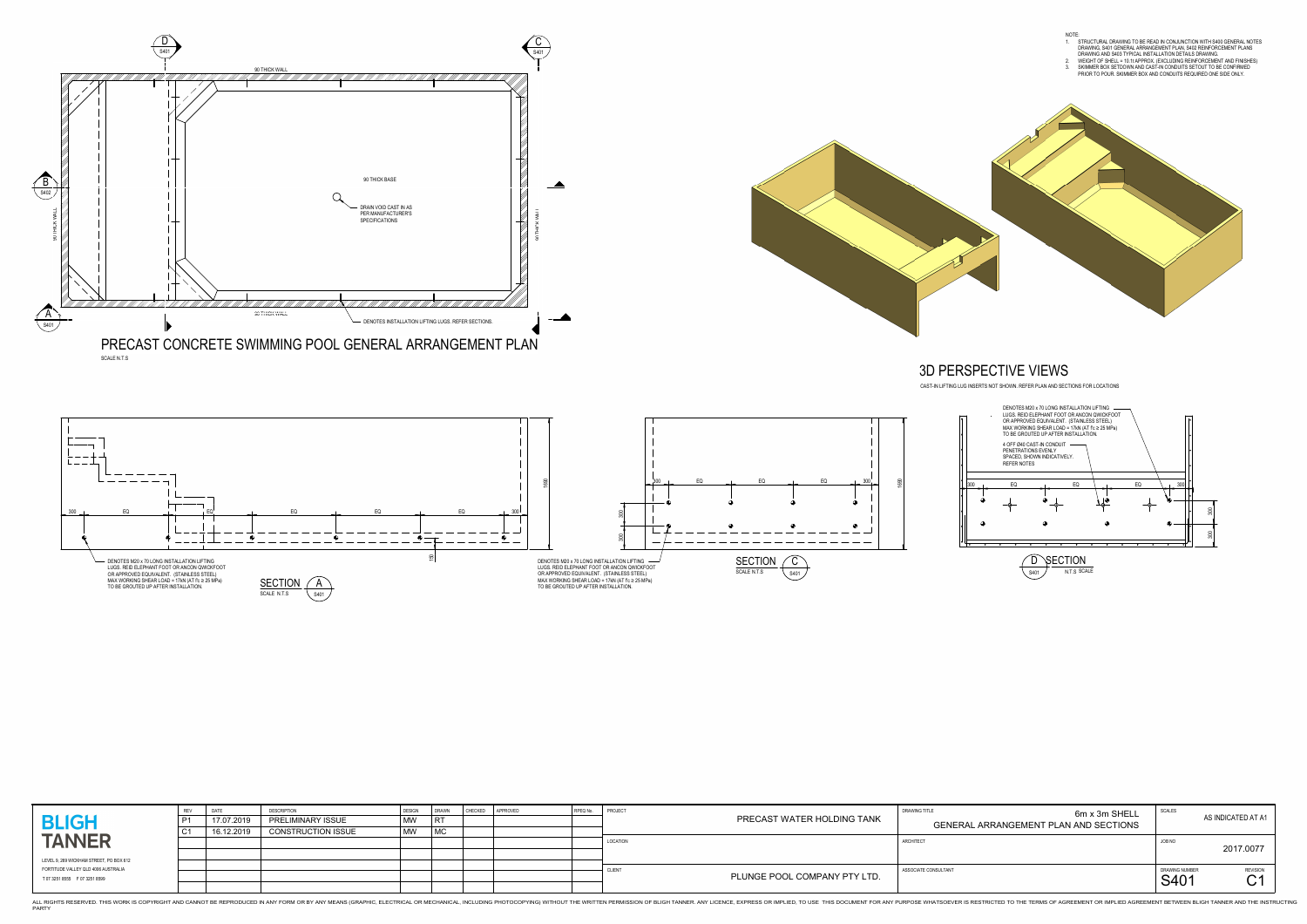

S401

THIS WORK IS COPYRIGHT AND CANNOT BE REPRODUCED IN ANY FORM OR BY ANY MEANS (GRAPHIC, ELECTRICAL OR MECHANICAL OR MECHANICAL OR MECHANICAL, INCLUDING PHOTOCOPYING) WITHOUT THE WRITTEN PERMISSION OF BLIGH TANNER. ANY LICENC PARTY





|  | 300 |    |
|--|-----|----|
|  |     | ⊕  |
|  |     |    |
|  |     |    |
|  |     | 49 |
|  |     |    |
|  |     |    |
|  | ┃   |    |



| <b>BLIGH</b>                                                                                                       | 17.07.2019 | <b>DESCRIPTION</b><br><b>PRELIMINARY ISSUE</b> | JESIGN<br>$\mid$ MW |    | APPROVED<br><b>CHECKED</b> | RPEQ No. | PROJECT<br>PRECAST WATER HOLDING TANK              | DRAWING TITLE<br>6m x 3m SHELL<br><b>GENERAL ARRANGEMENT PLAN AND SECTIONS</b> | SCALES                 | AS INDICATED AT A                                |
|--------------------------------------------------------------------------------------------------------------------|------------|------------------------------------------------|---------------------|----|----------------------------|----------|----------------------------------------------------|--------------------------------------------------------------------------------|------------------------|--------------------------------------------------|
| <b>TANNER</b>                                                                                                      | 16.12.2019 | <b>CONSTRUCTION ISSUE</b>                      | $\vert$ MW          | MC |                            |          | LOCATION                                           | ARCHITECT                                                                      | JOB NO                 | 2017.0077                                        |
| LEVEL 9, 269 WICKHAM STREET, PO BOX 612<br>FORTITUDE VALLEY QLD 4006 AUSTRALIA<br>T 07 3251 8555    F 07 3251 8599 |            |                                                |                     |    |                            |          | CLIEN <sup>-</sup><br>PLUNGE POOL COMPANY PTY LTD. | ASSOCIATE CONSULTANT                                                           | DRAWING NUMBER<br>S401 | <b>REVISION</b><br>⌒ィ<br>$\mathbf\triangleright$ |

| <b>ISULTANT</b><br>DRAWING NUMBER<br>S401                               | <b>REVISION</b>    |
|-------------------------------------------------------------------------|--------------------|
| JOB NO                                                                  | 2017.0077          |
| <b>SCALES</b><br>6m x 3m SHELL<br>GENERAL ARRANGEMENT PLAN AND SECTIONS | AS INDICATED AT A1 |
|                                                                         |                    |

CAST-IN LIFTING LUG INSERTS NOT SHOWN. REFER PLAN AND SECTIONS FOR LOCATIONS

1 N.T.S SCALE

## 3D PERSPECTIVE VIEWS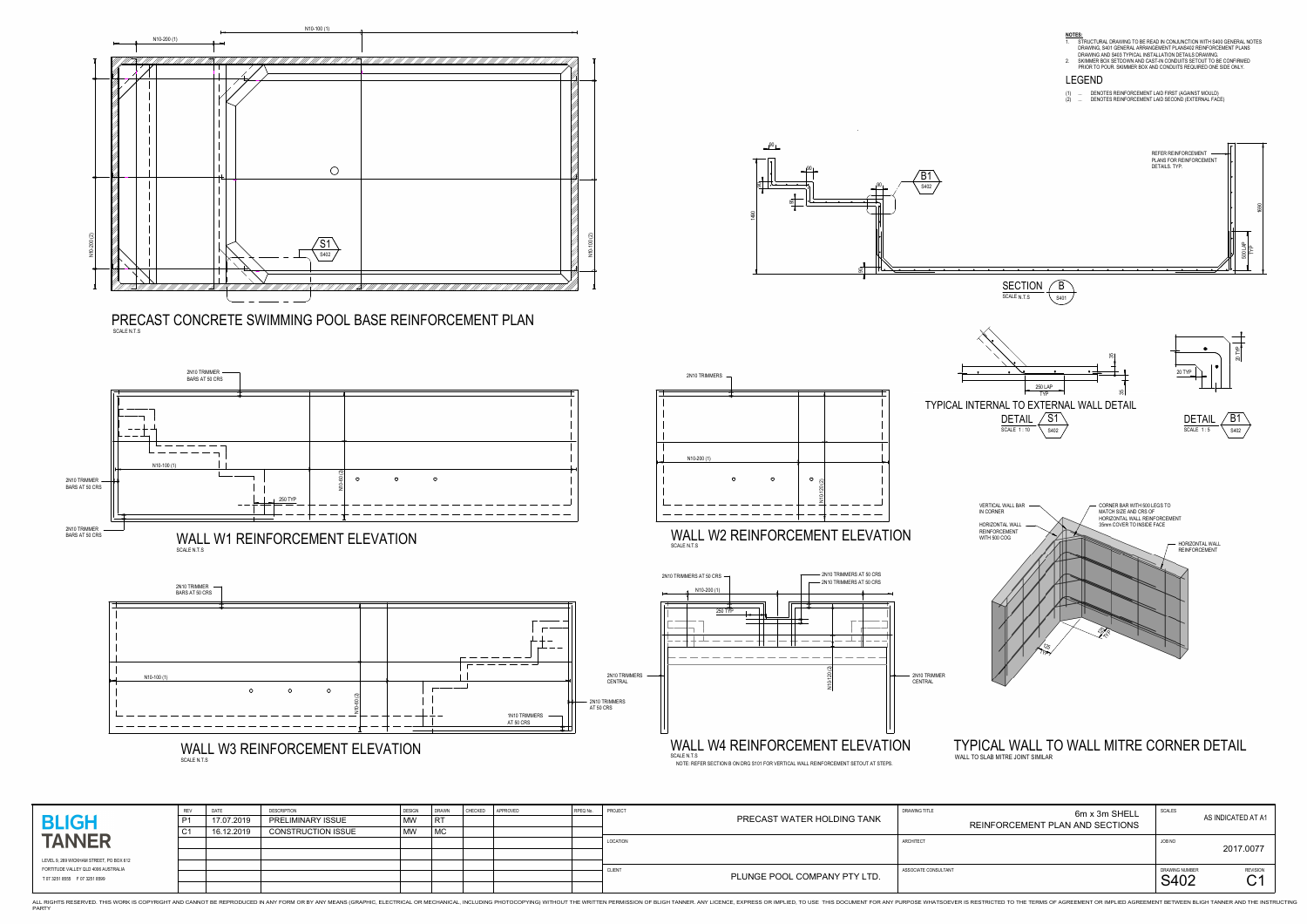

SCALE N.T.S



SCALE N.T.S



| <b>BLIGH</b>                                                            | REV<br>P1<br>C <sub>1</sub> | 17.07.2019<br>16.12.2019 | <b>DESCRIPTIO</b><br><b>PRELIMINARY ISSUE</b><br><b>CONSTRUCTION ISSUE</b> | $\mid$ MW $\mid$<br>$\mid$ MW $\mid$ | <b>DRAWN</b> | <b>CHECKED</b> | APPROVED | RPEQ No. | PROJECT         | PRECAST WATER HOLDING TANK   | <b>DRAWING TITLE</b> | 6m x 3m SHELL<br>REINFORCEMENT PLAN AND SECTIONS | <b>SCALES</b>          | AS INDICATED AT A          |
|-------------------------------------------------------------------------|-----------------------------|--------------------------|----------------------------------------------------------------------------|--------------------------------------|--------------|----------------|----------|----------|-----------------|------------------------------|----------------------|--------------------------------------------------|------------------------|----------------------------|
| <b>TANNER</b><br>LEVEL 9, 269 WICKHAM STREET, PO BOX 612                |                             |                          |                                                                            |                                      |              |                |          |          | <b>LOCATION</b> |                              | <b>ARCHITECT</b>     |                                                  | JOB NO                 | 2017.0077                  |
| FORTITUDE VALLEY QLD 4006 AUSTRALIA<br>T 07 3251 8555    F 07 3251 8599 |                             |                          |                                                                            |                                      |              |                |          |          | <b>CLIENT</b>   | PLUNGE POOL COMPANY PTY LTD. | ASSOCIATE CONSULTANT |                                                  | DRAWING NUMBER<br>S402 | <b>REVISION</b><br>⌒ィ<br>U |

PARTY

NOTE: REFER SECTION B ON DRG S101 FOR VERTICAL WALL REINFORCEMENT SETOUT AT STEPS.

THIS WORK IS COPYRIGHT AND CANNOT BE REPRODUCED IN ANY FORM OR BY ANY MEANS (GRAPHIC, ELECTRICAL OR MECHANICAL OR MECHANICAL OR MECHANICAL, INCLUDING PHOTOCOPYING) WITHOUT THE WRITTEN PERMISSION OF BLIGH TANNER. ANY LICENC

|                                                  | DRAWING NUMBER<br>S402 | <b>REVISION</b><br>C <sup>1</sup> |
|--------------------------------------------------|------------------------|-----------------------------------|
|                                                  | JOB NO                 | 2017.0077                         |
| 6m x 3m SHELL<br>REINFORCEMENT PLAN AND SECTIONS | <b>SCALES</b>          | AS INDICATED AT A1                |

### TYPICAL WALL TO WALL MITRE CORNER DETAILWALL TO SLAB MITRE JOINT SIMILAR